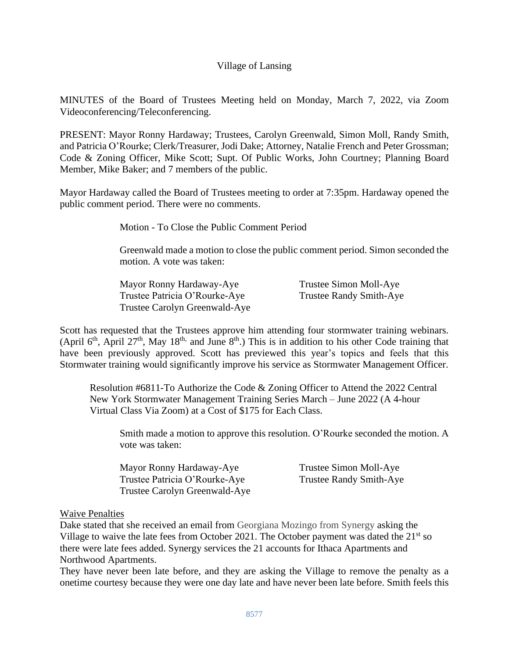# Village of Lansing

MINUTES of the Board of Trustees Meeting held on Monday, March 7, 2022, via Zoom Videoconferencing/Teleconferencing.

PRESENT: Mayor Ronny Hardaway; Trustees, Carolyn Greenwald, Simon Moll, Randy Smith, and Patricia O'Rourke; Clerk/Treasurer, Jodi Dake; Attorney, Natalie French and Peter Grossman; Code & Zoning Officer, Mike Scott; Supt. Of Public Works, John Courtney; Planning Board Member, Mike Baker; and 7 members of the public.

Mayor Hardaway called the Board of Trustees meeting to order at 7:35pm. Hardaway opened the public comment period. There were no comments.

Motion - To Close the Public Comment Period

Greenwald made a motion to close the public comment period. Simon seconded the motion. A vote was taken:

| Mayor Ronny Hardaway-Aye      | Trustee Simon Moll-Aye         |
|-------------------------------|--------------------------------|
| Trustee Patricia O'Rourke-Aye | <b>Trustee Randy Smith-Aye</b> |
| Trustee Carolyn Greenwald-Aye |                                |

Scott has requested that the Trustees approve him attending four stormwater training webinars. (April  $6<sup>th</sup>$ , April  $27<sup>th</sup>$ , May  $18<sup>th</sup>$ , and June  $8<sup>th</sup>$ .) This is in addition to his other Code training that have been previously approved. Scott has previewed this year's topics and feels that this Stormwater training would significantly improve his service as Stormwater Management Officer.

Resolution #6811-To Authorize the Code & Zoning Officer to Attend the 2022 Central New York Stormwater Management Training Series March – June 2022 (A 4-hour Virtual Class Via Zoom) at a Cost of \$175 for Each Class.

Smith made a motion to approve this resolution. O'Rourke seconded the motion. A vote was taken:

Mayor Ronny Hardaway-Aye Trustee Simon Moll-Aye Trustee Patricia O'Rourke-Aye Trustee Randy Smith-Aye Trustee Carolyn Greenwald-Aye

## Waive Penalties

Dake stated that she received an email from Georgiana Mozingo from Synergy asking the Village to waive the late fees from October 2021. The October payment was dated the  $21<sup>st</sup>$  so there were late fees added. Synergy services the 21 accounts for Ithaca Apartments and Northwood Apartments.

They have never been late before, and they are asking the Village to remove the penalty as a onetime courtesy because they were one day late and have never been late before. Smith feels this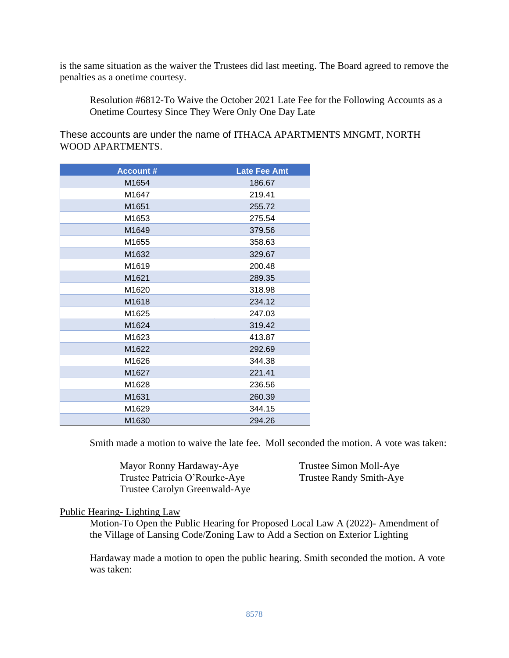is the same situation as the waiver the Trustees did last meeting. The Board agreed to remove the penalties as a onetime courtesy.

Resolution #6812-To Waive the October 2021 Late Fee for the Following Accounts as a Onetime Courtesy Since They Were Only One Day Late

These accounts are under the name of ITHACA APARTMENTS MNGMT, NORTH WOOD APARTMENTS.

| <b>Account #</b> | <b>Late Fee Amt</b> |
|------------------|---------------------|
| M1654            | 186.67              |
| M1647            | 219.41              |
| M1651            | 255.72              |
| M1653            | 275.54              |
| M1649            | 379.56              |
| M1655            | 358.63              |
| M1632            | 329.67              |
| M1619            | 200.48              |
| M1621            | 289.35              |
| M1620            | 318.98              |
| M1618            | 234.12              |
| M1625            | 247.03              |
| M1624            | 319.42              |
| M1623            | 413.87              |
| M1622            | 292.69              |
| M1626            | 344.38              |
| M1627            | 221.41              |
| M1628            | 236.56              |
| M1631            | 260.39              |
| M1629            | 344.15              |
| M1630            | 294.26              |

Smith made a motion to waive the late fee. Moll seconded the motion. A vote was taken:

Mayor Ronny Hardaway-Aye Trustee Simon Moll-Aye Trustee Patricia O'Rourke-Aye Trustee Randy Smith-Aye Trustee Carolyn Greenwald-Aye

## Public Hearing- Lighting Law

Motion-To Open the Public Hearing for Proposed Local Law A (2022)- Amendment of the Village of Lansing Code/Zoning Law to Add a Section on Exterior Lighting

Hardaway made a motion to open the public hearing. Smith seconded the motion. A vote was taken: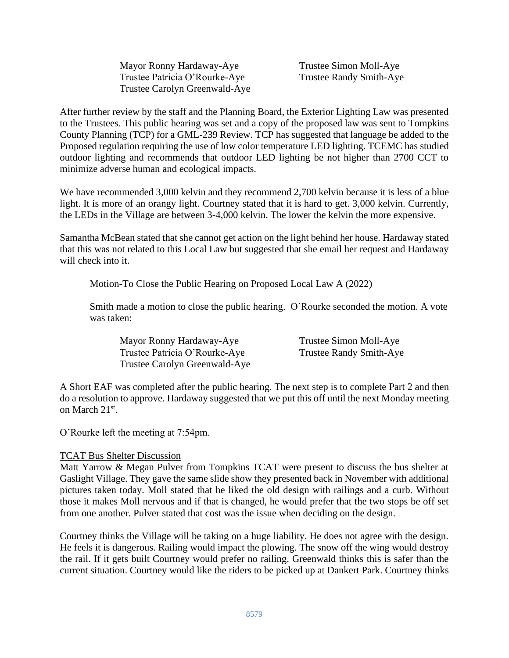| Mayor Ronny Hardaway-Aye      |
|-------------------------------|
| Trustee Patricia O'Rourke-Aye |
| Trustee Carolyn Greenwald-Aye |

Trustee Simon Moll-Aye Trustee Randy Smith-Aye

After further review by the staff and the Planning Board, the Exterior Lighting Law was presented to the Trustees. This public hearing was set and a copy of the proposed law was sent to Tompkins County Planning (TCP) for a GML-239 Review. TCP has suggested that language be added to the Proposed regulation requiring the use of low color temperature LED lighting. TCEMC has studied outdoor lighting and recommends that outdoor LED lighting be not higher than 2700 CCT to minimize adverse human and ecological impacts.

We have recommended 3,000 kelvin and they recommend 2,700 kelvin because it is less of a blue light. It is more of an orangy light. Courtney stated that it is hard to get. 3,000 kelvin. Currently, the LEDs in the Village are between 3-4,000 kelvin. The lower the kelvin the more expensive.

Samantha McBean stated that she cannot get action on the light behind her house. Hardaway stated that this was not related to this Local Law but suggested that she email her request and Hardaway will check into it.

Motion-To Close the Public Hearing on Proposed Local Law A (2022)

Smith made a motion to close the public hearing. O'Rourke seconded the motion. A vote was taken:

Mayor Ronny Hardaway-Aye Trustee Simon Moll-Aye Trustee Patricia O'Rourke-Aye Trustee Randy Smith-Aye Trustee Carolyn Greenwald-Aye

A Short EAF was completed after the public hearing. The next step is to complete Part 2 and then do a resolution to approve. Hardaway suggested that we put this off until the next Monday meeting on March 21<sup>st</sup>.

O'Rourke left the meeting at 7:54pm.

## TCAT Bus Shelter Discussion

Matt Yarrow & Megan Pulver from Tompkins TCAT were present to discuss the bus shelter at Gaslight Village. They gave the same slide show they presented back in November with additional pictures taken today. Moll stated that he liked the old design with railings and a curb. Without those it makes Moll nervous and if that is changed, he would prefer that the two stops be off set from one another. Pulver stated that cost was the issue when deciding on the design.

Courtney thinks the Village will be taking on a huge liability. He does not agree with the design. He feels it is dangerous. Railing would impact the plowing. The snow off the wing would destroy the rail. If it gets built Courtney would prefer no railing. Greenwald thinks this is safer than the current situation. Courtney would like the riders to be picked up at Dankert Park. Courtney thinks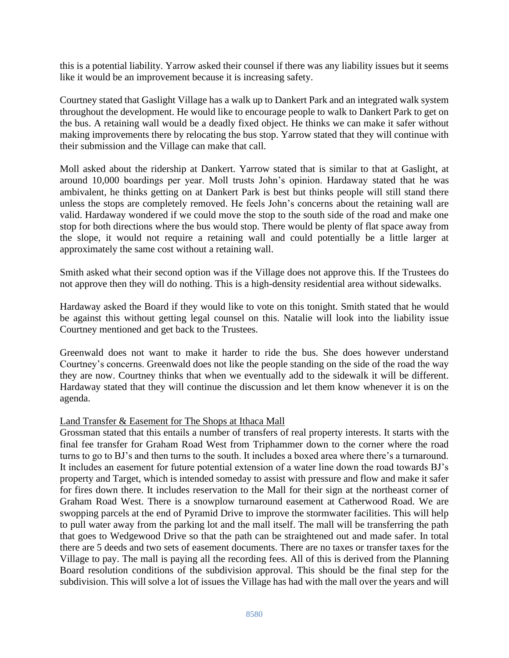this is a potential liability. Yarrow asked their counsel if there was any liability issues but it seems like it would be an improvement because it is increasing safety.

Courtney stated that Gaslight Village has a walk up to Dankert Park and an integrated walk system throughout the development. He would like to encourage people to walk to Dankert Park to get on the bus. A retaining wall would be a deadly fixed object. He thinks we can make it safer without making improvements there by relocating the bus stop. Yarrow stated that they will continue with their submission and the Village can make that call.

Moll asked about the ridership at Dankert. Yarrow stated that is similar to that at Gaslight, at around 10,000 boardings per year. Moll trusts John's opinion. Hardaway stated that he was ambivalent, he thinks getting on at Dankert Park is best but thinks people will still stand there unless the stops are completely removed. He feels John's concerns about the retaining wall are valid. Hardaway wondered if we could move the stop to the south side of the road and make one stop for both directions where the bus would stop. There would be plenty of flat space away from the slope, it would not require a retaining wall and could potentially be a little larger at approximately the same cost without a retaining wall.

Smith asked what their second option was if the Village does not approve this. If the Trustees do not approve then they will do nothing. This is a high-density residential area without sidewalks.

Hardaway asked the Board if they would like to vote on this tonight. Smith stated that he would be against this without getting legal counsel on this. Natalie will look into the liability issue Courtney mentioned and get back to the Trustees.

Greenwald does not want to make it harder to ride the bus. She does however understand Courtney's concerns. Greenwald does not like the people standing on the side of the road the way they are now. Courtney thinks that when we eventually add to the sidewalk it will be different. Hardaway stated that they will continue the discussion and let them know whenever it is on the agenda.

## Land Transfer & Easement for The Shops at Ithaca Mall

Grossman stated that this entails a number of transfers of real property interests. It starts with the final fee transfer for Graham Road West from Triphammer down to the corner where the road turns to go to BJ's and then turns to the south. It includes a boxed area where there's a turnaround. It includes an easement for future potential extension of a water line down the road towards BJ's property and Target, which is intended someday to assist with pressure and flow and make it safer for fires down there. It includes reservation to the Mall for their sign at the northeast corner of Graham Road West. There is a snowplow turnaround easement at Catherwood Road. We are swopping parcels at the end of Pyramid Drive to improve the stormwater facilities. This will help to pull water away from the parking lot and the mall itself. The mall will be transferring the path that goes to Wedgewood Drive so that the path can be straightened out and made safer. In total there are 5 deeds and two sets of easement documents. There are no taxes or transfer taxes for the Village to pay. The mall is paying all the recording fees. All of this is derived from the Planning Board resolution conditions of the subdivision approval. This should be the final step for the subdivision. This will solve a lot of issues the Village has had with the mall over the years and will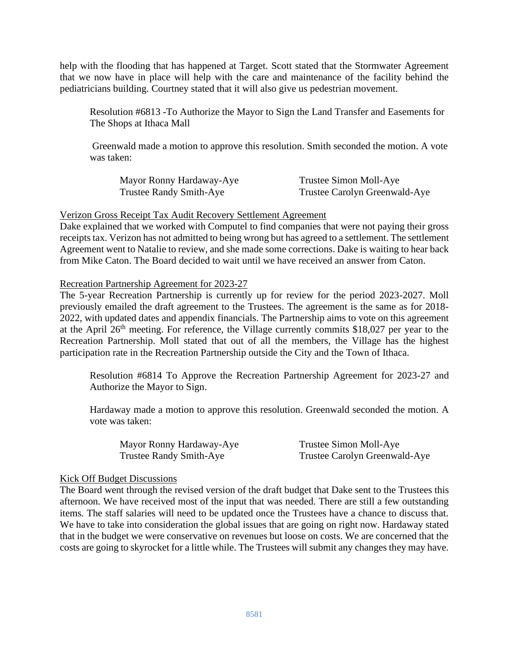help with the flooding that has happened at Target. Scott stated that the Stormwater Agreement that we now have in place will help with the care and maintenance of the facility behind the pediatricians building. Courtney stated that it will also give us pedestrian movement.

Resolution #6813 -To Authorize the Mayor to Sign the Land Transfer and Easements for The Shops at Ithaca Mall

Greenwald made a motion to approve this resolution. Smith seconded the motion. A vote was taken:

| Mayor Ronny Hardaway-Aye | Trustee Simon Moll-Aye        |
|--------------------------|-------------------------------|
| Trustee Randy Smith-Aye  | Trustee Carolyn Greenwald-Aye |

## Verizon Gross Receipt Tax Audit Recovery Settlement Agreement

Dake explained that we worked with Computel to find companies that were not paying their gross receipts tax. Verizon has not admitted to being wrong but has agreed to a settlement. The settlement Agreement went to Natalie to review, and she made some corrections. Dake is waiting to hear back from Mike Caton. The Board decided to wait until we have received an answer from Caton.

## Recreation Partnership Agreement for 2023-27

The 5-year Recreation Partnership is currently up for review for the period 2023-2027. Moll previously emailed the draft agreement to the Trustees. The agreement is the same as for 2018- 2022, with updated dates and appendix financials. The Partnership aims to vote on this agreement at the April 26<sup>th</sup> meeting. For reference, the Village currently commits \$18,027 per year to the Recreation Partnership. Moll stated that out of all the members, the Village has the highest participation rate in the Recreation Partnership outside the City and the Town of Ithaca.

Resolution #6814 To Approve the Recreation Partnership Agreement for 2023-27 and Authorize the Mayor to Sign.

Hardaway made a motion to approve this resolution. Greenwald seconded the motion. A vote was taken:

| Mayor Ronny Hardaway-Aye | Trustee Simon Moll-Aye        |
|--------------------------|-------------------------------|
| Trustee Randy Smith-Aye  | Trustee Carolyn Greenwald-Aye |

## Kick Off Budget Discussions

The Board went through the revised version of the draft budget that Dake sent to the Trustees this afternoon. We have received most of the input that was needed. There are still a few outstanding items. The staff salaries will need to be updated once the Trustees have a chance to discuss that. We have to take into consideration the global issues that are going on right now. Hardaway stated that in the budget we were conservative on revenues but loose on costs. We are concerned that the costs are going to skyrocket for a little while. The Trustees will submit any changes they may have.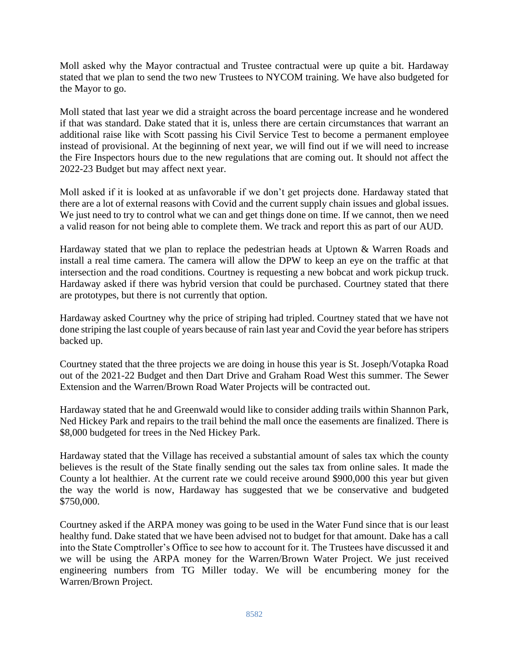Moll asked why the Mayor contractual and Trustee contractual were up quite a bit. Hardaway stated that we plan to send the two new Trustees to NYCOM training. We have also budgeted for the Mayor to go.

Moll stated that last year we did a straight across the board percentage increase and he wondered if that was standard. Dake stated that it is, unless there are certain circumstances that warrant an additional raise like with Scott passing his Civil Service Test to become a permanent employee instead of provisional. At the beginning of next year, we will find out if we will need to increase the Fire Inspectors hours due to the new regulations that are coming out. It should not affect the 2022-23 Budget but may affect next year.

Moll asked if it is looked at as unfavorable if we don't get projects done. Hardaway stated that there are a lot of external reasons with Covid and the current supply chain issues and global issues. We just need to try to control what we can and get things done on time. If we cannot, then we need a valid reason for not being able to complete them. We track and report this as part of our AUD.

Hardaway stated that we plan to replace the pedestrian heads at Uptown & Warren Roads and install a real time camera. The camera will allow the DPW to keep an eye on the traffic at that intersection and the road conditions. Courtney is requesting a new bobcat and work pickup truck. Hardaway asked if there was hybrid version that could be purchased. Courtney stated that there are prototypes, but there is not currently that option.

Hardaway asked Courtney why the price of striping had tripled. Courtney stated that we have not done striping the last couple of years because of rain last year and Covid the year before has stripers backed up.

Courtney stated that the three projects we are doing in house this year is St. Joseph/Votapka Road out of the 2021-22 Budget and then Dart Drive and Graham Road West this summer. The Sewer Extension and the Warren/Brown Road Water Projects will be contracted out.

Hardaway stated that he and Greenwald would like to consider adding trails within Shannon Park, Ned Hickey Park and repairs to the trail behind the mall once the easements are finalized. There is \$8,000 budgeted for trees in the Ned Hickey Park.

Hardaway stated that the Village has received a substantial amount of sales tax which the county believes is the result of the State finally sending out the sales tax from online sales. It made the County a lot healthier. At the current rate we could receive around \$900,000 this year but given the way the world is now, Hardaway has suggested that we be conservative and budgeted \$750,000.

Courtney asked if the ARPA money was going to be used in the Water Fund since that is our least healthy fund. Dake stated that we have been advised not to budget for that amount. Dake has a call into the State Comptroller's Office to see how to account for it. The Trustees have discussed it and we will be using the ARPA money for the Warren/Brown Water Project. We just received engineering numbers from TG Miller today. We will be encumbering money for the Warren/Brown Project.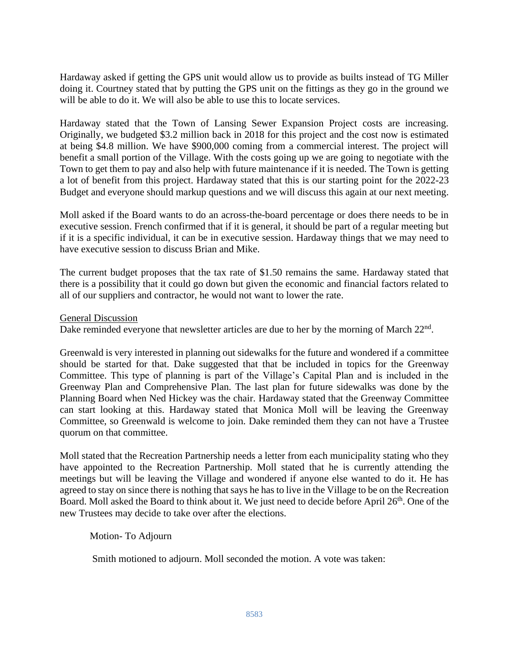Hardaway asked if getting the GPS unit would allow us to provide as builts instead of TG Miller doing it. Courtney stated that by putting the GPS unit on the fittings as they go in the ground we will be able to do it. We will also be able to use this to locate services.

Hardaway stated that the Town of Lansing Sewer Expansion Project costs are increasing. Originally, we budgeted \$3.2 million back in 2018 for this project and the cost now is estimated at being \$4.8 million. We have \$900,000 coming from a commercial interest. The project will benefit a small portion of the Village. With the costs going up we are going to negotiate with the Town to get them to pay and also help with future maintenance if it is needed. The Town is getting a lot of benefit from this project. Hardaway stated that this is our starting point for the 2022-23 Budget and everyone should markup questions and we will discuss this again at our next meeting.

Moll asked if the Board wants to do an across-the-board percentage or does there needs to be in executive session. French confirmed that if it is general, it should be part of a regular meeting but if it is a specific individual, it can be in executive session. Hardaway things that we may need to have executive session to discuss Brian and Mike.

The current budget proposes that the tax rate of \$1.50 remains the same. Hardaway stated that there is a possibility that it could go down but given the economic and financial factors related to all of our suppliers and contractor, he would not want to lower the rate.

General Discussion

Dake reminded everyone that newsletter articles are due to her by the morning of March 22<sup>nd</sup>.

Greenwald is very interested in planning out sidewalks for the future and wondered if a committee should be started for that. Dake suggested that that be included in topics for the Greenway Committee. This type of planning is part of the Village's Capital Plan and is included in the Greenway Plan and Comprehensive Plan. The last plan for future sidewalks was done by the Planning Board when Ned Hickey was the chair. Hardaway stated that the Greenway Committee can start looking at this. Hardaway stated that Monica Moll will be leaving the Greenway Committee, so Greenwald is welcome to join. Dake reminded them they can not have a Trustee quorum on that committee.

Moll stated that the Recreation Partnership needs a letter from each municipality stating who they have appointed to the Recreation Partnership. Moll stated that he is currently attending the meetings but will be leaving the Village and wondered if anyone else wanted to do it. He has agreed to stay on since there is nothing that says he has to live in the Village to be on the Recreation Board. Moll asked the Board to think about it. We just need to decide before April 26<sup>th</sup>. One of the new Trustees may decide to take over after the elections.

Motion- To Adjourn

Smith motioned to adjourn. Moll seconded the motion. A vote was taken: